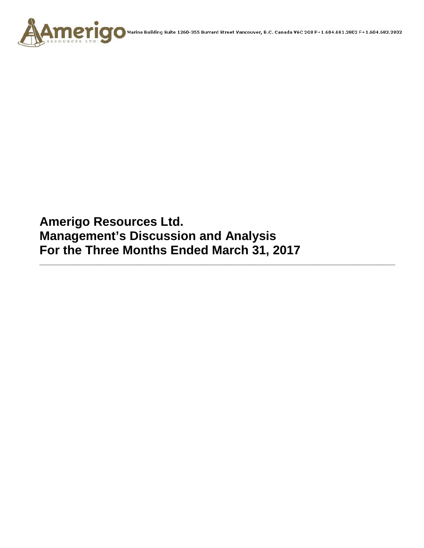

**Amerigo Resources Ltd. Management's Discussion and Analysis For the Three Months Ended March 31, 2017**

**\_\_\_\_\_\_\_\_\_\_\_\_\_\_\_\_\_\_\_\_\_\_\_\_\_\_\_\_\_\_\_\_\_\_\_\_\_\_\_\_\_\_\_\_\_\_\_\_\_\_\_\_\_\_\_\_\_\_\_\_\_\_\_\_\_\_\_\_\_\_\_\_\_\_\_\_\_\_\_\_\_\_\_\_**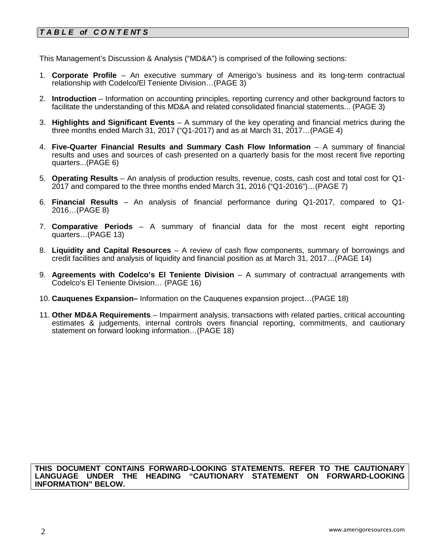# *T A B L E of C O N T E NT S*

This Management's Discussion & Analysis ("MD&A") is comprised of the following sections:

- 1. **Corporate Profile**  An executive summary of Amerigo's business and its long-term contractual relationship with Codelco/El Teniente Division…(PAGE 3)
- 2. **Introduction**  Information on accounting principles, reporting currency and other background factors to facilitate the understanding of this MD&A and related consolidated financial statements... (PAGE 3)
- 3. **Highlights and Significant Events** A summary of the key operating and financial metrics during the three months ended March 31, 2017 ("Q1-2017) and as at March 31, 2017…(PAGE 4)
- 4. **Five-Quarter Financial Results and Summary Cash Flow Information** A summary of financial results and uses and sources of cash presented on a quarterly basis for the most recent five reporting quarters...(PAGE 6)
- 5. **Operating Results** An analysis of production results, revenue, costs, cash cost and total cost for Q1- 2017 and compared to the three months ended March 31, 2016 ("Q1-2016")…(PAGE 7)
- 6. **Financial Results** An analysis of financial performance during Q1-2017, compared to Q1- 2016…(PAGE 8)
- 7. **Comparative Periods** A summary of financial data for the most recent eight reporting quarters…(PAGE 13)
- 8. **Liquidity and Capital Resources** A review of cash flow components, summary of borrowings and credit facilities and analysis of liquidity and financial position as at March 31, 2017…(PAGE 14)
- 9. **Agreements with Codelco's El Teniente Division** A summary of contractual arrangements with Codelco's El Teniente Division… (PAGE 16)
- 10. **Cauquenes Expansion–** Information on the Cauquenes expansion project…(PAGE 18)
- 11. **Other MD&A Requirements** Impairment analysis, transactions with related parties, critical accounting estimates & judgements, internal controls overs financial reporting, commitments, and cautionary statement on forward looking information…(PAGE 18)

#### **THIS DOCUMENT CONTAINS FORWARD-LOOKING STATEMENTS. REFER TO THE CAUTIONARY LANGUAGE UNDER THE HEADING "CAUTIONARY STATEMENT ON FORWARD-LOOKING INFORMATION" BELOW.**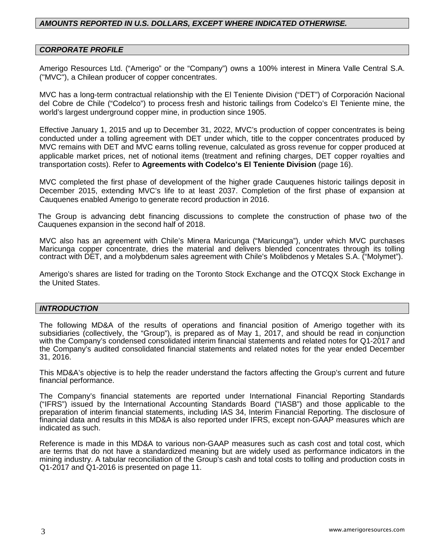## *AMOUNTS REPORTED IN U.S. DOLLARS, EXCEPT WHERE INDICATED OTHERWISE.*

## *CORPORATE PROFILE*

Amerigo Resources Ltd. ("Amerigo" or the "Company") owns a 100% interest in Minera Valle Central S.A. ("MVC"), a Chilean producer of copper concentrates.

MVC has a long-term contractual relationship with the El Teniente Division ("DET") of Corporación Nacional del Cobre de Chile ("Codelco") to process fresh and historic tailings from Codelco's El Teniente mine, the world's largest underground copper mine, in production since 1905.

Effective January 1, 2015 and up to December 31, 2022, MVC's production of copper concentrates is being conducted under a tolling agreement with DET under which, title to the copper concentrates produced by MVC remains with DET and MVC earns tolling revenue, calculated as gross revenue for copper produced at applicable market prices, net of notional items (treatment and refining charges, DET copper royalties and transportation costs). Refer to **Agreements with Codelco's El Teniente Division** (page 16).

MVC completed the first phase of development of the higher grade Cauquenes historic tailings deposit in December 2015, extending MVC's life to at least 2037. Completion of the first phase of expansion at Cauquenes enabled Amerigo to generate record production in 2016.

The Group is advancing debt financing discussions to complete the construction of phase two of the Cauquenes expansion in the second half of 2018.

MVC also has an agreement with Chile's Minera Maricunga ("Maricunga"), under which MVC purchases Maricunga copper concentrate, dries the material and delivers blended concentrates through its tolling contract with DET, and a molybdenum sales agreement with Chile's Molibdenos y Metales S.A. ("Molymet").

Amerigo's shares are listed for trading on the Toronto Stock Exchange and the OTCQX Stock Exchange in the United States.

## *INTRODUCTION*

The following MD&A of the results of operations and financial position of Amerigo together with its subsidiaries (collectively, the "Group"), is prepared as of May 1, 2017, and should be read in conjunction with the Company's condensed consolidated interim financial statements and related notes for Q1-2017 and the Company's audited consolidated financial statements and related notes for the year ended December 31, 2016.

This MD&A's objective is to help the reader understand the factors affecting the Group's current and future financial performance.

The Company's financial statements are reported under International Financial Reporting Standards ("IFRS") issued by the International Accounting Standards Board ("IASB") and those applicable to the preparation of interim financial statements, including IAS 34, Interim Financial Reporting. The disclosure of financial data and results in this MD&A is also reported under IFRS, except non-GAAP measures which are indicated as such.

Reference is made in this MD&A to various non-GAAP measures such as cash cost and total cost, which are terms that do not have a standardized meaning but are widely used as performance indicators in the mining industry. A tabular reconciliation of the Group's cash and total costs to tolling and production costs in Q1-2017 and Q1-2016 is presented on page 11.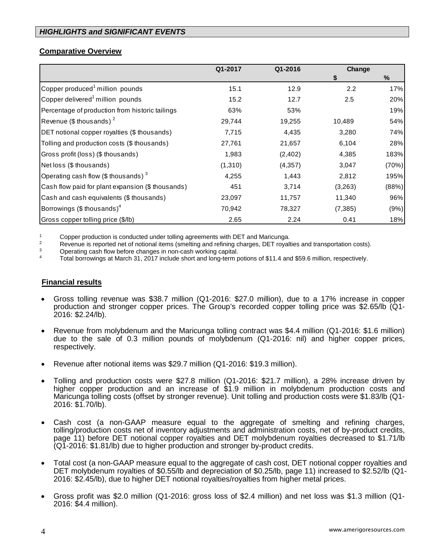# *HIGHLIGHTS and SIGNIFICANT EVENTS*

## **Comparative Overview**

|                                                   | Q1-2017 | Q1-2016 | Change   |       |
|---------------------------------------------------|---------|---------|----------|-------|
|                                                   |         |         | S        | %     |
| Copper produced <sup>1</sup> million pounds       | 15.1    | 12.9    | 2.2      | 17%   |
| Copper delivered <sup>1</sup> million pounds      | 15.2    | 12.7    | 2.5      | 20%   |
| Percentage of production from historic tailings   | 63%     | 53%     |          | 19%   |
| Revenue (\$ thousands) $2$                        | 29,744  | 19,255  | 10,489   | 54%   |
| DET notional copper royalties (\$ thousands)      | 7,715   | 4,435   | 3,280    | 74%   |
| Tolling and production costs (\$ thousands)       | 27,761  | 21,657  | 6,104    | 28%   |
| Gross profit (loss) (\$ thousands)                | 1,983   | (2,402) | 4,385    | 183%  |
| Net loss (\$ thousands)                           | (1,310) | (4,357) | 3,047    | (70%) |
| Operating cash flow (\$ thousands) $3$            | 4,255   | 1,443   | 2,812    | 195%  |
| Cash flow paid for plant expansion (\$ thousands) | 451     | 3,714   | (3,263)  | (88%) |
| Cash and cash equivalents (\$ thousands)          | 23,097  | 11,757  | 11,340   | 96%   |
| Borrowings (\$ thousands) <sup>4</sup>            | 70,942  | 78,327  | (7, 385) | (9%)  |
| Gross copper tolling price (\$/lb)                | 2.65    | 2.24    | 0.41     | 18%   |

1 Copper production is conducted under tolling agreements with DET and Maricunga.<br>2 Povenius is reported not of potional items (amelting and refining aberson, DET revolt

<sup>2</sup> Revenue is reported net of notional items (smelting and refining charges, DET royalties and transportation costs).<br><sup>3</sup> Operating cash flow before changes in non-cash working capital.

<sup>4</sup> Total borrowings at March 31, 2017 include short and long-term potions of \$11.4 and \$59.6 million, respectively.

## **Financial results**

- Gross tolling revenue was \$38.7 million (Q1-2016: \$27.0 million), due to a 17% increase in copper production and stronger copper prices. The Group's recorded copper tolling price was \$2.65/lb (Q1- 2016: \$2.24/lb).
- Revenue from molybdenum and the Maricunga tolling contract was \$4.4 million (Q1-2016: \$1.6 million) due to the sale of 0.3 million pounds of molybdenum (Q1-2016: nil) and higher copper prices, respectively.
- Revenue after notional items was \$29.7 million (Q1-2016: \$19.3 million).
- Tolling and production costs were \$27.8 million (Q1-2016: \$21.7 million), a 28% increase driven by higher copper production and an increase of \$1.9 million in molybdenum production costs and Maricunga tolling costs (offset by stronger revenue). Unit tolling and production costs were \$1.83/lb (Q1- 2016: \$1.70/lb).
- Cash cost (a non-GAAP measure equal to the aggregate of smelting and refining charges, tolling/production costs net of inventory adjustments and administration costs, net of by-product credits, page 11) before DET notional copper royalties and DET molybdenum royalties decreased to \$1.71/lb (Q1-2016: \$1.81/lb) due to higher production and stronger by-product credits.
- Total cost (a non-GAAP measure equal to the aggregate of cash cost, DET notional copper royalties and DET molybdenum royalties of \$0.55/lb and depreciation of \$0.25/lb, page 11) increased to \$2.52/lb (Q1- 2016: \$2.45/lb), due to higher DET notional royalties/royalties from higher metal prices.
- Gross profit was \$2.0 million (Q1-2016: gross loss of \$2.4 million) and net loss was \$1.3 million (Q1- 2016: \$4.4 million).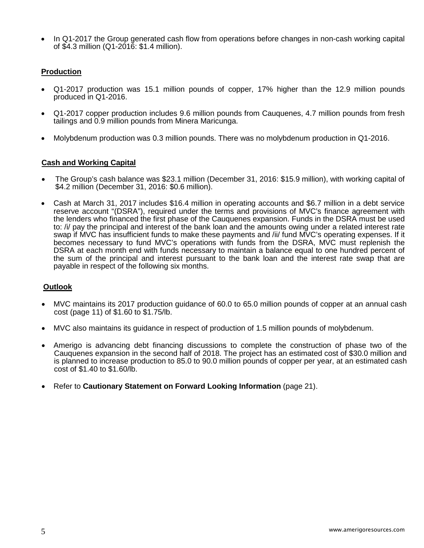• In Q1-2017 the Group generated cash flow from operations before changes in non-cash working capital of \$4.3 million (Q1-2016: \$1.4 million).

## **Production**

- Q1-2017 production was 15.1 million pounds of copper, 17% higher than the 12.9 million pounds produced in Q1-2016.
- Q1-2017 copper production includes 9.6 million pounds from Cauquenes, 4.7 million pounds from fresh tailings and 0.9 million pounds from Minera Maricunga.
- Molybdenum production was 0.3 million pounds. There was no molybdenum production in Q1-2016.

## **Cash and Working Capital**

- The Group's cash balance was \$23.1 million (December 31, 2016: \$15.9 million), with working capital of \$4.2 million (December 31, 2016: \$0.6 million).
- Cash at March 31, 2017 includes \$16.4 million in operating accounts and \$6.7 million in a debt service reserve account "(DSRA"), required under the terms and provisions of MVC's finance agreement with the lenders who financed the first phase of the Cauquenes expansion. Funds in the DSRA must be used to: /i/ pay the principal and interest of the bank loan and the amounts owing under a related interest rate swap if MVC has insufficient funds to make these payments and /ii/ fund MVC's operating expenses. If it becomes necessary to fund MVC's operations with funds from the DSRA, MVC must replenish the DSRA at each month end with funds necessary to maintain a balance equal to one hundred percent of the sum of the principal and interest pursuant to the bank loan and the interest rate swap that are payable in respect of the following six months.

## **Outlook**

- MVC maintains its 2017 production guidance of 60.0 to 65.0 million pounds of copper at an annual cash cost (page 11) of \$1.60 to \$1.75/lb.
- MVC also maintains its guidance in respect of production of 1.5 million pounds of molybdenum.
- Amerigo is advancing debt financing discussions to complete the construction of phase two of the Cauquenes expansion in the second half of 2018. The project has an estimated cost of \$30.0 million and is planned to increase production to 85.0 to 90.0 million pounds of copper per year, at an estimated cash cost of \$1.40 to \$1.60/lb.
- Refer to **Cautionary Statement on Forward Looking Information** (page 21).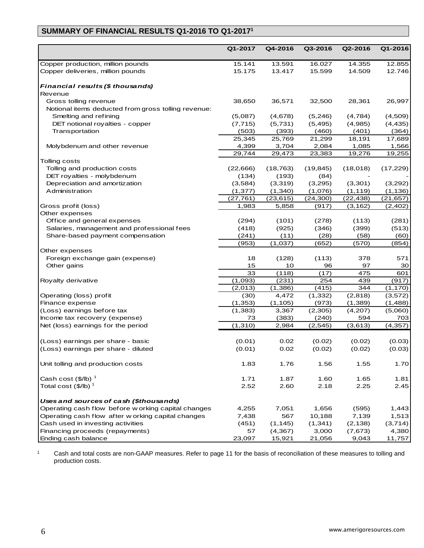# **SUMMARY OF FINANCIAL RESULTS Q1-2016 TO Q1-20171**

|                                                             | Q1-2017          | Q4-2016           | Q3-2016           | Q2-2016            | Q1-2016        |
|-------------------------------------------------------------|------------------|-------------------|-------------------|--------------------|----------------|
| Copper production, million pounds                           | 15.141           | 13.591            | 16.027            | 14.355             | 12.855         |
| Copper deliveries, million pounds                           | 15.175           | 13.417            | 15.599            | 14.509             | 12.746         |
| Financial results (\$ thousands)                            |                  |                   |                   |                    |                |
| Revenue                                                     |                  |                   |                   |                    |                |
| Gross tolling revenue                                       | 38,650           | 36,571            | 32,500            | 28,361             | 26,997         |
| Notional items deducted from gross tolling revenue:         |                  |                   |                   |                    |                |
| Smelting and refining                                       | (5,087)          | (4,678)           | (5,246)           | (4,784)            | (4,509)        |
| DET notional royalties - copper                             | (7, 715)         | (5,731)           | (5, 495)          | (4,985)            | (4, 435)       |
| Transportation                                              | (503)            | (393)             | (460)             | (401)              | (364)          |
|                                                             | 25,345           | 25,769            | 21,299            | 18,191             | 17,689         |
| Molybdenum and other revenue                                | 4,399            | 3,704             | 2,084             | 1,085              | 1,566          |
|                                                             | 29,744           | 29,473            | 23,383            | 19,276             | 19,255         |
| Tolling costs                                               |                  |                   |                   |                    |                |
| Tolling and production costs                                | (22,666)         | (18, 763)         | (19, 845)         | (18,018)           | (17, 229)      |
| DET royalties - molybdenum                                  | (134)            | (193)             | (84)              |                    |                |
| Depreciation and amortization                               | (3,584)          | (3,319)           | (3,295)           | (3,301)            | (3,292)        |
| Administration                                              | (1, 377)         | (1,340)           | (1,076)           | (1, 119)           | (1, 136)       |
|                                                             | (27, 761)        | (23, 615)         | (24, 300)         | (22, 438)          | (21, 657)      |
| Gross profit (loss)                                         | 1,983            | 5,858             | (917)             | (3, 162)           | (2, 402)       |
| Other expenses                                              |                  |                   |                   |                    |                |
| Office and general expenses                                 | (294)            | (101)             | (278)             | (113)              | (281)          |
| Salaries, management and professional fees                  | (418)            | (925)             | (346)             | (399)              | (513)          |
| Share-based payment compensation                            | (241)            | (11)              | (28)              | (58)               | (60)           |
|                                                             | (953)            | (1,037)           | (652)             | (570)              | (854)          |
| Other expenses                                              |                  |                   |                   |                    |                |
| Foreign exchange gain (expense)                             | 18               | (128)             | (113)             | 378                | 571            |
|                                                             | 15               | 10                | 96                | 97                 |                |
| Other gains                                                 | 33               | (118)             | (17)              | 475                | 30<br>601      |
| Royalty derivative                                          | (1,093)          | (231)             | 254               | 439                | (917)          |
|                                                             | (2,013)          | (1,386)           | (415)             | 344                | (1, 170)       |
|                                                             |                  |                   |                   |                    |                |
| Operating (loss) profit<br>Finance expense                  | (30)<br>(1, 353) | 4,472             | (1, 332)<br>(973) | (2,818)<br>(1,389) | (3, 572)       |
|                                                             | (1, 383)         | (1, 105)<br>3,367 |                   |                    | (1,488)        |
| (Loss) earnings before tax<br>Income tax recovery (expense) | 73               |                   | (2,305)<br>(240)  | (4,207)<br>594     | (5,060)<br>703 |
|                                                             |                  | (383)             |                   |                    |                |
| Net (loss) earnings for the period                          | (1, 310)         | 2,984             | (2, 545)          | (3,613)            | (4, 357)       |
|                                                             |                  |                   |                   |                    |                |
| (Loss) earnings per share - basic                           | (0.01)           | 0.02              | (0.02)            | (0.02)             | (0.03)         |
| (Loss) earnings per share - diluted                         | (0.01)           | 0.02              | (0.02)            | (0.02)             | (0.03)         |
| Unit tolling and production costs                           | 1.83             | 1.76              | 1.56              | 1.55               | 1.70           |
| Cash cost $(\frac{6}{10})^1$                                | 1.71             | 1.87              | 1.60              | 1.65               | 1.81           |
| Total cost $(\frac{5}{lb})^1$                               | 2.52             | 2.60              | 2.18              | 2.25               | 2.45           |
| Uses and sources of cash (\$thousands)                      |                  |                   |                   |                    |                |
| Operating cash flow before w orking capital changes         | 4,255            | 7,051             | 1,656             | (595)              | 1,443          |
| Operating cash flow after w orking capital changes          | 7,438            | 567               | 10,188            | 7,139              | 1,513          |
| Cash used in investing activities                           | (451)            | (1, 145)          | (1, 341)          | (2, 138)           | (3,714)        |
| Financing proceeds (repayments)                             | 57               | (4, 367)          | 3,000             | (7,673)            | 4,380          |
| Ending cash balance                                         | 23,097           | 15,921            | 21,056            | 9,043              | 11,757         |

 1 Cash and total costs are non-GAAP measures. Refer to page 11 for the basis of reconciliation of these measures to tolling and production costs.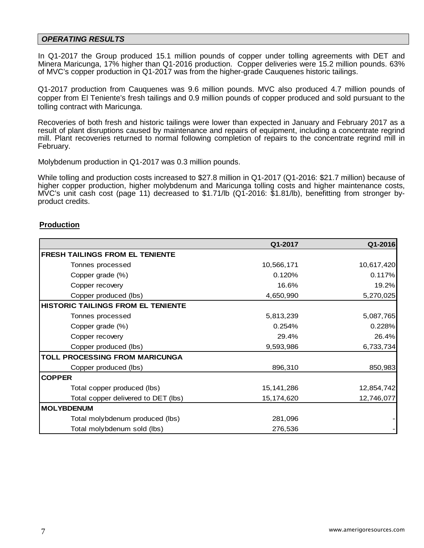## *OPERATING RESULTS*

In Q1-2017 the Group produced 15.1 million pounds of copper under tolling agreements with DET and Minera Maricunga, 17% higher than Q1-2016 production. Copper deliveries were 15.2 million pounds. 63% of MVC's copper production in Q1-2017 was from the higher-grade Cauquenes historic tailings.

Q1-2017 production from Cauquenes was 9.6 million pounds. MVC also produced 4.7 million pounds of copper from El Teniente's fresh tailings and 0.9 million pounds of copper produced and sold pursuant to the tolling contract with Maricunga.

Recoveries of both fresh and historic tailings were lower than expected in January and February 2017 as a result of plant disruptions caused by maintenance and repairs of equipment, including a concentrate regrind mill. Plant recoveries returned to normal following completion of repairs to the concentrate regrind mill in February.

Molybdenum production in Q1-2017 was 0.3 million pounds.

While tolling and production costs increased to \$27.8 million in Q1-2017 (Q1-2016: \$21.7 million) because of higher copper production, higher molybdenum and Maricunga tolling costs and higher maintenance costs, MVC's unit cash cost (page 11) decreased to \$1.71/lb (Q1-2016: \$1.81/lb), benefitting from stronger byproduct credits.

## **Production**

|                                           | Q1-2017      | Q1-2016    |
|-------------------------------------------|--------------|------------|
| <b>FRESH TAILINGS FROM EL TENIENTE</b>    |              |            |
| Tonnes processed                          | 10,566,171   | 10,617,420 |
| Copper grade (%)                          | 0.120%       | 0.117%     |
| Copper recovery                           | 16.6%        | 19.2%      |
| Copper produced (lbs)                     | 4,650,990    | 5,270,025  |
| <b>HISTORIC TAILINGS FROM EL TENIENTE</b> |              |            |
| Tonnes processed                          | 5,813,239    | 5,087,765  |
| Copper grade (%)                          | 0.254%       | 0.228%     |
| Copper recovery                           | 29.4%        | 26.4%      |
| Copper produced (lbs)                     | 9,593,986    | 6,733,734  |
| <b>TOLL PROCESSING FROM MARICUNGA</b>     |              |            |
| Copper produced (lbs)                     | 896,310      | 850,983    |
| <b>COPPER</b>                             |              |            |
| Total copper produced (lbs)               | 15, 141, 286 | 12,854,742 |
| Total copper delivered to DET (lbs)       | 15, 174, 620 | 12,746,077 |
| <b>MOLYBDENUM</b>                         |              |            |
| Total molybdenum produced (lbs)           | 281,096      |            |
| Total molybdenum sold (lbs)               | 276,536      |            |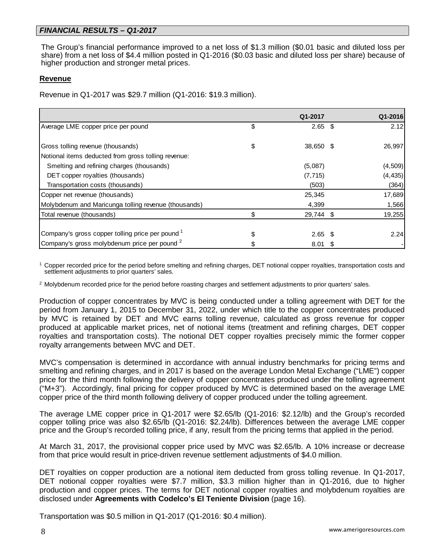# *FINANCIAL RESULTS – Q1-2017*

The Group's financial performance improved to a net loss of \$1.3 million (\$0.01 basic and diluted loss per share) from a net loss of \$4.4 million posted in Q1-2016 (\$0.03 basic and diluted loss per share) because of higher production and stronger metal prices.

## **Revenue**

Revenue in Q1-2017 was \$29.7 million (Q1-2016: \$19.3 million).

|                                                         | Q1-2017            | Q1-2016  |
|---------------------------------------------------------|--------------------|----------|
| Average LME copper price per pound                      | \$<br>$2.65$ \$    | 2.12     |
|                                                         |                    |          |
| Gross tolling revenue (thousands)                       | \$<br>38,650 \$    | 26,997   |
| Notional items deducted from gross tolling revenue:     |                    |          |
| Smelting and refining charges (thousands)               | (5,087)            | (4,509)  |
| DET copper royalties (thousands)                        | (7, 715)           | (4, 435) |
| Transportation costs (thousands)                        | (503)              | (364)    |
| Copper net revenue (thousands)                          | 25,345             | 17,689   |
| Molybdenum and Maricunga tolling revenue (thousands)    | 4,399              | 1,566    |
| Total revenue (thousands)                               | \$<br>29,744 \$    | 19,255   |
|                                                         |                    |          |
| Company's gross copper tolling price per pound 1        | $2.65$ \$          | 2.24     |
| Company's gross molybdenum price per pound <sup>2</sup> | $8.01 \text{ }$ \$ |          |

<sup>1</sup> Copper recorded price for the period before smelting and refining charges, DET notional copper royalties, transportation costs and settlement adjustments to prior quarters' sales.

 $2$  Molybdenum recorded price for the period before roasting charges and settlement adjustments to prior quarters' sales.

Production of copper concentrates by MVC is being conducted under a tolling agreement with DET for the period from January 1, 2015 to December 31, 2022, under which title to the copper concentrates produced by MVC is retained by DET and MVC earns tolling revenue, calculated as gross revenue for copper produced at applicable market prices, net of notional items (treatment and refining charges, DET copper royalties and transportation costs). The notional DET copper royalties precisely mimic the former copper royalty arrangements between MVC and DET.

MVC's compensation is determined in accordance with annual industry benchmarks for pricing terms and smelting and refining charges, and in 2017 is based on the average London Metal Exchange ("LME") copper price for the third month following the delivery of copper concentrates produced under the tolling agreement ("M+3"). Accordingly, final pricing for copper produced by MVC is determined based on the average LME copper price of the third month following delivery of copper produced under the tolling agreement.

The average LME copper price in Q1-2017 were \$2.65/lb (Q1-2016: \$2.12/lb) and the Group's recorded copper tolling price was also \$2.65/lb (Q1-2016: \$2.24/lb). Differences between the average LME copper price and the Group's recorded tolling price, if any, result from the pricing terms that applied in the period.

At March 31, 2017, the provisional copper price used by MVC was \$2.65/lb. A 10% increase or decrease from that price would result in price-driven revenue settlement adjustments of \$4.0 million.

DET royalties on copper production are a notional item deducted from gross tolling revenue. In Q1-2017, DET notional copper royalties were \$7.7 million, \$3.3 million higher than in Q1-2016, due to higher production and copper prices. The terms for DET notional copper royalties and molybdenum royalties are disclosed under **Agreements with Codelco's El Teniente Division** (page 16).

Transportation was \$0.5 million in Q1-2017 (Q1-2016: \$0.4 million).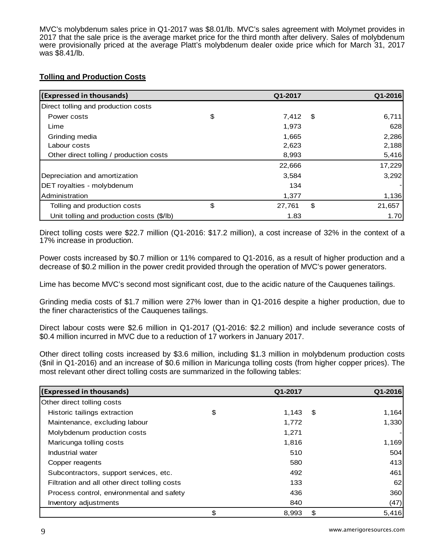MVC's molybdenum sales price in Q1-2017 was \$8.01/lb. MVC's sales agreement with Molymet provides in 2017 that the sale price is the average market price for the third month after delivery. Sales of molybdenum were provisionally priced at the average Platt's molybdenum dealer oxide price which for March 31, 2017 was \$8.41/lb.

# **Tolling and Production Costs**

| (Expressed in thousands)                  | Q1-2017      |      | Q1-2016 |
|-------------------------------------------|--------------|------|---------|
| Direct tolling and production costs       |              |      |         |
| Power costs                               | \$<br>7,412  | - \$ | 6,711   |
| Lime                                      | 1,973        |      | 628     |
| Grinding media                            | 1,665        |      | 2,286   |
| Labour costs                              | 2,623        |      | 2,188   |
| Other direct tolling / production costs   | 8,993        |      | 5,416   |
|                                           | 22,666       |      | 17,229  |
| Depreciation and amortization             | 3,584        |      | 3,292   |
| DET royalties - molybdenum                | 134          |      |         |
| Administration                            | 1,377        |      | 1,136   |
| Tolling and production costs              | \$<br>27,761 | \$   | 21,657  |
| Unit tolling and production costs (\$/lb) | 1.83         |      | 1.70    |

Direct tolling costs were \$22.7 million (Q1-2016: \$17.2 million), a cost increase of 32% in the context of a 17% increase in production.

Power costs increased by \$0.7 million or 11% compared to Q1-2016, as a result of higher production and a decrease of \$0.2 million in the power credit provided through the operation of MVC's power generators.

Lime has become MVC's second most significant cost, due to the acidic nature of the Cauquenes tailings.

Grinding media costs of \$1.7 million were 27% lower than in Q1-2016 despite a higher production, due to the finer characteristics of the Cauquenes tailings.

Direct labour costs were \$2.6 million in Q1-2017 (Q1-2016: \$2.2 million) and include severance costs of \$0.4 million incurred in MVC due to a reduction of 17 workers in January 2017.

Other direct tolling costs increased by \$3.6 million, including \$1.3 million in molybdenum production costs (\$nil in Q1-2016) and an increase of \$0.6 million in Maricunga tolling costs (from higher copper prices). The most relevant other direct tolling costs are summarized in the following tables:

| (Expressed in thousands)                      | Q1-2017     |      | Q1-2016 |
|-----------------------------------------------|-------------|------|---------|
| Other direct tolling costs                    |             |      |         |
| Historic tailings extraction                  | \$<br>1,143 | - \$ | 1,164   |
| Maintenance, excluding labour                 | 1,772       |      | 1,330   |
| Molybdenum production costs                   | 1,271       |      |         |
| Maricunga tolling costs                       | 1,816       |      | 1,169   |
| Industrial water                              | 510         |      | 504     |
| Copper reagents                               | 580         |      | 413     |
| Subcontractors, support services, etc.        | 492         |      | 461     |
| Filtration and all other direct tolling costs | 133         |      | 62      |
| Process control, environmental and safety     | 436         |      | 360     |
| Inventory adjustments                         | 840         |      | (47)    |
|                                               | \$<br>8,993 | \$   | 5,416   |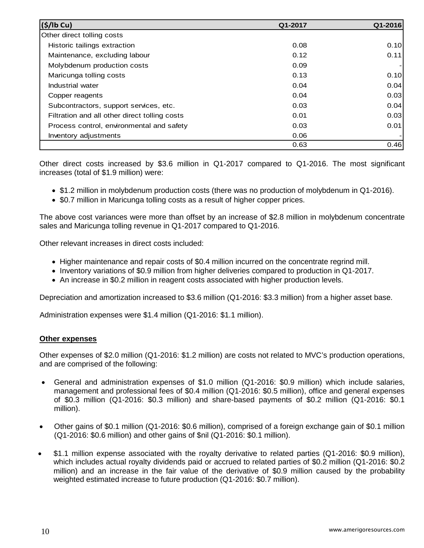| (S/lb Cu)                                     | Q1-2017 | Q1-2016 |
|-----------------------------------------------|---------|---------|
| Other direct tolling costs                    |         |         |
| Historic tailings extraction                  | 0.08    | 0.10    |
| Maintenance, excluding labour                 | 0.12    | 0.11    |
| Molybdenum production costs                   | 0.09    |         |
| Maricunga tolling costs                       | 0.13    | 0.10    |
| Industrial water                              | 0.04    | 0.04    |
| Copper reagents                               | 0.04    | 0.03    |
| Subcontractors, support services, etc.        | 0.03    | 0.04    |
| Filtration and all other direct tolling costs | 0.01    | 0.03    |
| Process control, environmental and safety     | 0.03    | 0.01    |
| Inventory adjustments                         | 0.06    |         |
|                                               | 0.63    | 0.46    |

Other direct costs increased by \$3.6 million in Q1-2017 compared to Q1-2016. The most significant increases (total of \$1.9 million) were:

- \$1.2 million in molybdenum production costs (there was no production of molybdenum in Q1-2016).
- \$0.7 million in Maricunga tolling costs as a result of higher copper prices.

The above cost variances were more than offset by an increase of \$2.8 million in molybdenum concentrate sales and Maricunga tolling revenue in Q1-2017 compared to Q1-2016.

Other relevant increases in direct costs included:

- Higher maintenance and repair costs of \$0.4 million incurred on the concentrate regrind mill.
- Inventory variations of \$0.9 million from higher deliveries compared to production in Q1-2017.
- An increase in \$0.2 million in reagent costs associated with higher production levels.

Depreciation and amortization increased to \$3.6 million (Q1-2016: \$3.3 million) from a higher asset base.

Administration expenses were \$1.4 million (Q1-2016: \$1.1 million).

## **Other expenses**

Other expenses of \$2.0 million (Q1-2016: \$1.2 million) are costs not related to MVC's production operations, and are comprised of the following:

- General and administration expenses of \$1.0 million (Q1-2016: \$0.9 million) which include salaries, management and professional fees of \$0.4 million (Q1-2016: \$0.5 million), office and general expenses of \$0.3 million (Q1-2016: \$0.3 million) and share-based payments of \$0.2 million (Q1-2016: \$0.1 million).
- Other gains of \$0.1 million (Q1-2016: \$0.6 million), comprised of a foreign exchange gain of \$0.1 million (Q1-2016: \$0.6 million) and other gains of \$nil (Q1-2016: \$0.1 million).
- \$1.1 million expense associated with the royalty derivative to related parties (Q1-2016: \$0.9 million), which includes actual royalty dividends paid or accrued to related parties of \$0.2 million (Q1-2016: \$0.2 million) and an increase in the fair value of the derivative of \$0.9 million caused by the probability weighted estimated increase to future production (Q1-2016: \$0.7 million).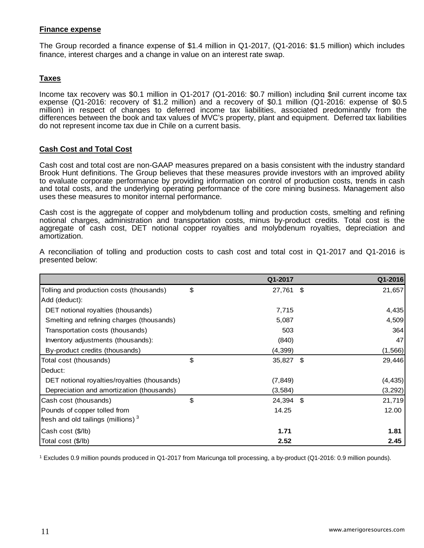## **Finance expense**

The Group recorded a finance expense of \$1.4 million in Q1-2017, (Q1-2016: \$1.5 million) which includes finance, interest charges and a change in value on an interest rate swap.

## **Taxes**

Income tax recovery was \$0.1 million in Q1-2017 (Q1-2016: \$0.7 million) including \$nil current income tax expense (Q1-2016: recovery of \$1.2 million) and a recovery of \$0.1 million (Q1-2016: expense of \$0.5 million) in respect of changes to deferred income tax liabilities, associated predominantly from the differences between the book and tax values of MVC's property, plant and equipment. Deferred tax liabilities do not represent income tax due in Chile on a current basis.

#### **Cash Cost and Total Cost**

Cash cost and total cost are non-GAAP measures prepared on a basis consistent with the industry standard Brook Hunt definitions. The Group believes that these measures provide investors with an improved ability to evaluate corporate performance by providing information on control of production costs, trends in cash and total costs, and the underlying operating performance of the core mining business. Management also uses these measures to monitor internal performance.

Cash cost is the aggregate of copper and molybdenum tolling and production costs, smelting and refining notional charges, administration and transportation costs, minus by-product credits. Total cost is the aggregate of cash cost, DET notional copper royalties and molybdenum royalties, depreciation and amortization.

|                                              | Q1-2017         | Q1-2016  |
|----------------------------------------------|-----------------|----------|
| Tolling and production costs (thousands)     | \$<br>27,761 \$ | 21,657   |
| Add (deduct):                                |                 |          |
| DET notional royalties (thousands)           | 7,715           | 4,435    |
| Smelting and refining charges (thousands)    | 5,087           | 4,509    |
| Transportation costs (thousands)             | 503             | 364      |
| Inventory adjustments (thousands):           | (840)           | 47       |
| By-product credits (thousands)               | (4, 399)        | (1, 566) |
| Total cost (thousands)                       | \$<br>35,827 \$ | 29,446   |
| Deduct:                                      |                 |          |
| DET notional royalties/royalties (thousands) | (7, 849)        | (4, 435) |
| Depreciation and amortization (thousands)    | (3, 584)        | (3, 292) |
| Cash cost (thousands)                        | \$<br>24,394 \$ | 21,719   |
| Pounds of copper tolled from                 | 14.25           | 12.00    |
| fresh and old tailings (millions) $3$        |                 |          |
| Cash cost (\$/lb)                            | 1.71            | 1.81     |
| Total cost (\$/lb)                           | 2.52            | 2.45     |

A reconciliation of tolling and production costs to cash cost and total cost in Q1-2017 and Q1-2016 is presented below:

<sup>1</sup> Excludes 0.9 million pounds produced in Q1-2017 from Maricunga toll processing, a by-product (Q1-2016: 0.9 million pounds).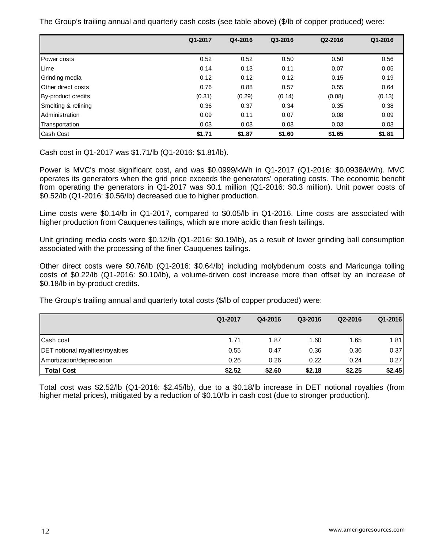The Group's trailing annual and quarterly cash costs (see table above) (\$/lb of copper produced) were:

|                     | Q1-2017 | Q4-2016 | Q3-2016 | Q2-2016 | Q1-2016 |
|---------------------|---------|---------|---------|---------|---------|
|                     |         |         |         |         |         |
| Power costs         | 0.52    | 0.52    | 0.50    | 0.50    | 0.56    |
| Lime                | 0.14    | 0.13    | 0.11    | 0.07    | 0.05    |
| Grinding media      | 0.12    | 0.12    | 0.12    | 0.15    | 0.19    |
| Other direct costs  | 0.76    | 0.88    | 0.57    | 0.55    | 0.64    |
| By-product credits  | (0.31)  | (0.29)  | (0.14)  | (0.08)  | (0.13)  |
| Smelting & refining | 0.36    | 0.37    | 0.34    | 0.35    | 0.38    |
| Administration      | 0.09    | 0.11    | 0.07    | 0.08    | 0.09    |
| Transportation      | 0.03    | 0.03    | 0.03    | 0.03    | 0.03    |
| Cash Cost           | \$1.71  | \$1.87  | \$1.60  | \$1.65  | \$1.81  |

Cash cost in Q1-2017 was \$1.71/lb (Q1-2016: \$1.81/lb).

Power is MVC's most significant cost, and was \$0.0999/kWh in Q1-2017 (Q1-2016: \$0.0938/kWh). MVC operates its generators when the grid price exceeds the generators' operating costs. The economic benefit from operating the generators in Q1-2017 was \$0.1 million (Q1-2016: \$0.3 million). Unit power costs of \$0.52/lb (Q1-2016: \$0.56/lb) decreased due to higher production.

Lime costs were \$0.14/lb in Q1-2017, compared to \$0.05/lb in Q1-2016. Lime costs are associated with higher production from Cauquenes tailings, which are more acidic than fresh tailings.

Unit grinding media costs were \$0.12/lb (Q1-2016: \$0.19/lb), as a result of lower grinding ball consumption associated with the processing of the finer Cauquenes tailings.

Other direct costs were \$0.76/lb (Q1-2016: \$0.64/lb) including molybdenum costs and Maricunga tolling costs of \$0.22/lb (Q1-2016: \$0.10/lb), a volume-driven cost increase more than offset by an increase of \$0.18/lb in by-product credits.

The Group's trailing annual and quarterly total costs (\$/lb of copper produced) were:

|                                         | Q1-2017 | Q4-2016 | Q3-2016 | Q2-2016 | Q1-2016 |
|-----------------------------------------|---------|---------|---------|---------|---------|
| Cash cost                               | 1.71    | 1.87    | 1.60    | 1.65    | 1.81    |
| <b>DET</b> notional royalties/royalties | 0.55    | 0.47    | 0.36    | 0.36    | 0.37    |
| Amortization/depreciation               | 0.26    | 0.26    | 0.22    | 0.24    | 0.27    |
| <b>Total Cost</b>                       | \$2.52  | \$2.60  | \$2.18  | \$2.25  | \$2.45  |

Total cost was \$2.52/lb (Q1-2016: \$2.45/lb), due to a \$0.18/lb increase in DET notional royalties (from higher metal prices), mitigated by a reduction of \$0.10/lb in cash cost (due to stronger production).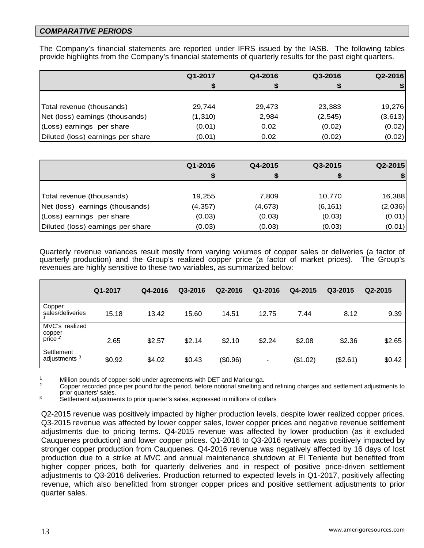## *COMPARATIVE PERIODS*

The Company's financial statements are reported under IFRS issued by the IASB. The following tables provide highlights from the Company's financial statements of quarterly results for the past eight quarters.

|                                   | Q1-2017  | Q4-2016 | Q3-2016  | Q2-2016 |
|-----------------------------------|----------|---------|----------|---------|
|                                   |          |         |          |         |
|                                   |          |         |          |         |
| Total revenue (thousands)         | 29,744   | 29,473  | 23,383   | 19,276  |
| Net (loss) earnings (thousands)   | (1, 310) | 2,984   | (2, 545) | (3,613) |
| (Loss) earnings per share         | (0.01)   | 0.02    | (0.02)   | (0.02)  |
| Diluted (loss) earnings per share | (0.01)   | 0.02    | (0.02)   | (0.02)  |

|                                   | Q1-2016  | Q4-2015  | Q3-2015  | Q2-2015 |
|-----------------------------------|----------|----------|----------|---------|
|                                   |          | \$       |          |         |
|                                   |          |          |          |         |
| Total revenue (thousands)         | 19,255   | 7,809    | 10,770   | 16,388  |
| Net (loss) earnings (thousands)   | (4, 357) | (4, 673) | (6, 161) | (2,036) |
| (Loss) earnings per share         | (0.03)   | (0.03)   | (0.03)   | (0.01)  |
| Diluted (loss) earnings per share | (0.03)   | (0.03)   | (0.03)   | (0.01)  |

Quarterly revenue variances result mostly from varying volumes of copper sales or deliveries (a factor of quarterly production) and the Group's realized copper price (a factor of market prices). The Group's revenues are highly sensitive to these two variables, as summarized below:

|                                       | Q1-2017 | Q4-2016 | Q3-2016 | Q2-2016  | Q1-2016 | Q4-2015  | Q3-2015  | Q2-2015 |
|---------------------------------------|---------|---------|---------|----------|---------|----------|----------|---------|
| Copper<br>sales/deliveries            | 15.18   | 13.42   | 15.60   | 14.51    | 12.75   | 7.44     | 8.12     | 9.39    |
| MVC's realized<br>copper<br>price $2$ | 2.65    | \$2.57  | \$2.14  | \$2.10   | \$2.24  | \$2.08   | \$2.36   | \$2.65  |
| Settlement<br>adjustments $3$         | \$0.92  | \$4.02  | \$0.43  | (\$0.96) | ٠       | (\$1.02) | (\$2.61) | \$0.42  |

Million pounds of copper sold under agreements with DET and Maricunga.<br>
<sup>2</sup> Copper recorded price per pound for the period, before notional smelting and refining charges and settlement adjustments to<br>
2 prior quarters' sal

<sup>3</sup> Settlement adjustments to prior quarter's sales, expressed in millions of dollars

Q2-2015 revenue was positively impacted by higher production levels, despite lower realized copper prices. Q3-2015 revenue was affected by lower copper sales, lower copper prices and negative revenue settlement adjustments due to pricing terms. Q4-2015 revenue was affected by lower production (as it excluded Cauquenes production) and lower copper prices. Q1-2016 to Q3-2016 revenue was positively impacted by stronger copper production from Cauquenes. Q4-2016 revenue was negatively affected by 16 days of lost production due to a strike at MVC and annual maintenance shutdown at El Teniente but benefited from higher copper prices, both for quarterly deliveries and in respect of positive price-driven settlement adjustments to Q3-2016 deliveries. Production returned to expected levels in Q1-2017, positively affecting revenue, which also benefitted from stronger copper prices and positive settlement adjustments to prior quarter sales.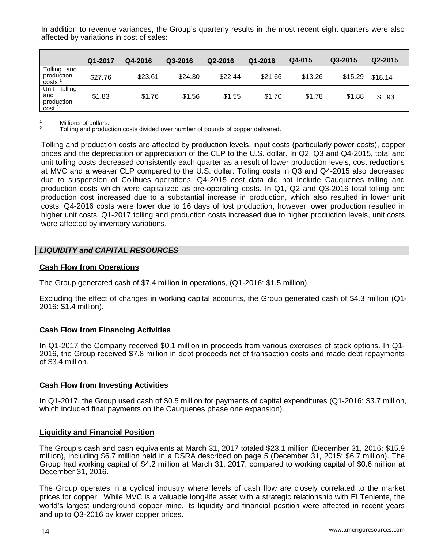In addition to revenue variances, the Group's quarterly results in the most recent eight quarters were also affected by variations in cost of sales:

|                                                   | Q1-2017 | Q4-2016 | Q3-2016 | Q2-2016 | Q1-2016 | Q4-015  | Q3-2015 | Q2-2015 |
|---------------------------------------------------|---------|---------|---------|---------|---------|---------|---------|---------|
| Tolling and<br>production<br>costs                | \$27.76 | \$23.61 | \$24.30 | \$22.44 | \$21.66 | \$13.26 | \$15.29 | \$18.14 |
| Unit<br>tolling<br>and<br>production<br>$\cosh^2$ | \$1.83  | \$1.76  | \$1.56  | \$1.55  | \$1.70  | \$1.78  | \$1.88  | \$1.93  |

<sup>1</sup> Millions of dollars.<br><sup>2</sup> Tolling and production costs divided over number of pounds of copper delivered.

Tolling and production costs are affected by production levels, input costs (particularly power costs), copper prices and the depreciation or appreciation of the CLP to the U.S. dollar. In Q2, Q3 and Q4-2015, total and unit tolling costs decreased consistently each quarter as a result of lower production levels, cost reductions at MVC and a weaker CLP compared to the U.S. dollar. Tolling costs in Q3 and Q4-2015 also decreased due to suspension of Colihues operations. Q4-2015 cost data did not include Cauquenes tolling and production costs which were capitalized as pre-operating costs. In Q1, Q2 and Q3-2016 total tolling and production cost increased due to a substantial increase in production, which also resulted in lower unit costs. Q4-2016 costs were lower due to 16 days of lost production, however lower production resulted in higher unit costs. Q1-2017 tolling and production costs increased due to higher production levels, unit costs were affected by inventory variations.

## *LIQUIDITY and CAPITAL RESOURCES*

## **Cash Flow from Operations**

The Group generated cash of \$7.4 million in operations, (Q1-2016: \$1.5 million).

Excluding the effect of changes in working capital accounts, the Group generated cash of \$4.3 million (Q1- 2016: \$1.4 million).

## **Cash Flow from Financing Activities**

In Q1-2017 the Company received \$0.1 million in proceeds from various exercises of stock options. In Q1- 2016, the Group received \$7.8 million in debt proceeds net of transaction costs and made debt repayments of \$3.4 million.

## **Cash Flow from Investing Activities**

In Q1-2017, the Group used cash of \$0.5 million for payments of capital expenditures (Q1-2016: \$3.7 million, which included final payments on the Cauquenes phase one expansion).

## **Liquidity and Financial Position**

The Group's cash and cash equivalents at March 31, 2017 totaled \$23.1 million (December 31, 2016: \$15.9 million), including \$6.7 million held in a DSRA described on page 5 (December 31, 2015: \$6.7 million). The Group had working capital of \$4.2 million at March 31, 2017, compared to working capital of \$0.6 million at December 31, 2016.

The Group operates in a cyclical industry where levels of cash flow are closely correlated to the market prices for copper. While MVC is a valuable long-life asset with a strategic relationship with El Teniente, the world's largest underground copper mine, its liquidity and financial position were affected in recent years and up to Q3-2016 by lower copper prices.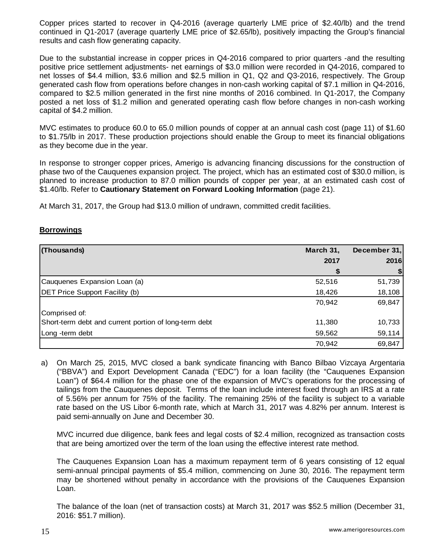Copper prices started to recover in Q4-2016 (average quarterly LME price of \$2.40/lb) and the trend continued in Q1-2017 (average quarterly LME price of \$2.65/lb), positively impacting the Group's financial results and cash flow generating capacity.

Due to the substantial increase in copper prices in Q4-2016 compared to prior quarters -and the resulting positive price settlement adjustments- net earnings of \$3.0 million were recorded in Q4-2016, compared to net losses of \$4.4 million, \$3.6 million and \$2.5 million in Q1, Q2 and Q3-2016, respectively. The Group generated cash flow from operations before changes in non-cash working capital of \$7.1 million in Q4-2016, compared to \$2.5 million generated in the first nine months of 2016 combined. In Q1-2017, the Company posted a net loss of \$1.2 million and generated operating cash flow before changes in non-cash working capital of \$4.2 million.

MVC estimates to produce 60.0 to 65.0 million pounds of copper at an annual cash cost (page 11) of \$1.60 to \$1.75/lb in 2017. These production projections should enable the Group to meet its financial obligations as they become due in the year.

In response to stronger copper prices, Amerigo is advancing financing discussions for the construction of phase two of the Cauquenes expansion project. The project, which has an estimated cost of \$30.0 million, is planned to increase production to 87.0 million pounds of copper per year, at an estimated cash cost of \$1.40/lb. Refer to **Cautionary Statement on Forward Looking Information** (page 21).

At March 31, 2017, the Group had \$13.0 million of undrawn, committed credit facilities.

## **Borrowings**

| (Thousands)                                           | March 31, | December 31, |
|-------------------------------------------------------|-----------|--------------|
|                                                       | 2017      | 2016         |
|                                                       | £.        |              |
| Cauquenes Expansion Loan (a)                          | 52,516    | 51,739       |
| <b>DET Price Support Facility (b)</b>                 | 18,426    | 18,108       |
|                                                       | 70,942    | 69,847       |
| Comprised of:                                         |           |              |
| Short-term debt and current portion of long-term debt | 11,380    | 10,733       |
| Long -term debt                                       | 59,562    | 59,114       |
|                                                       | 70,942    | 69,847       |

a) On March 25, 2015, MVC closed a bank syndicate financing with Banco Bilbao Vizcaya Argentaria ("BBVA") and Export Development Canada ("EDC") for a loan facility (the "Cauquenes Expansion Loan") of \$64.4 million for the phase one of the expansion of MVC's operations for the processing of tailings from the Cauquenes deposit. Terms of the loan include interest fixed through an IRS at a rate of 5.56% per annum for 75% of the facility. The remaining 25% of the facility is subject to a variable rate based on the US Libor 6-month rate, which at March 31, 2017 was 4.82% per annum. Interest is paid semi-annually on June and December 30.

MVC incurred due diligence, bank fees and legal costs of \$2.4 million, recognized as transaction costs that are being amortized over the term of the loan using the effective interest rate method.

The Cauquenes Expansion Loan has a maximum repayment term of 6 years consisting of 12 equal semi-annual principal payments of \$5.4 million, commencing on June 30, 2016. The repayment term may be shortened without penalty in accordance with the provisions of the Cauquenes Expansion Loan.

The balance of the loan (net of transaction costs) at March 31, 2017 was \$52.5 million (December 31, 2016: \$51.7 million).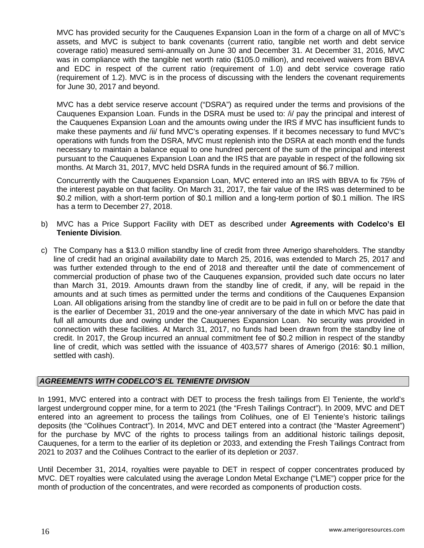MVC has provided security for the Cauquenes Expansion Loan in the form of a charge on all of MVC's assets, and MVC is subject to bank covenants (current ratio, tangible net worth and debt service coverage ratio) measured semi-annually on June 30 and December 31. At December 31, 2016, MVC was in compliance with the tangible net worth ratio (\$105.0 million), and received waivers from BBVA and EDC in respect of the current ratio (requirement of 1.0) and debt service coverage ratio (requirement of 1.2). MVC is in the process of discussing with the lenders the covenant requirements for June 30, 2017 and beyond.

MVC has a debt service reserve account ("DSRA") as required under the terms and provisions of the Cauquenes Expansion Loan. Funds in the DSRA must be used to: /i/ pay the principal and interest of the Cauquenes Expansion Loan and the amounts owing under the IRS if MVC has insufficient funds to make these payments and /ii/ fund MVC's operating expenses. If it becomes necessary to fund MVC's operations with funds from the DSRA, MVC must replenish into the DSRA at each month end the funds necessary to maintain a balance equal to one hundred percent of the sum of the principal and interest pursuant to the Cauquenes Expansion Loan and the IRS that are payable in respect of the following six months. At March 31, 2017, MVC held DSRA funds in the required amount of \$6.7 million.

Concurrently with the Cauquenes Expansion Loan, MVC entered into an IRS with BBVA to fix 75% of the interest payable on that facility. On March 31, 2017, the fair value of the IRS was determined to be \$0.2 million, with a short-term portion of \$0.1 million and a long-term portion of \$0.1 million. The IRS has a term to December 27, 2018.

- b) MVC has a Price Support Facility with DET as described under **Agreements with Codelco's El Teniente Division**.
- c) The Company has a \$13.0 million standby line of credit from three Amerigo shareholders. The standby line of credit had an original availability date to March 25, 2016, was extended to March 25, 2017 and was further extended through to the end of 2018 and thereafter until the date of commencement of commercial production of phase two of the Cauquenes expansion, provided such date occurs no later than March 31, 2019. Amounts drawn from the standby line of credit, if any, will be repaid in the amounts and at such times as permitted under the terms and conditions of the Cauquenes Expansion Loan. All obligations arising from the standby line of credit are to be paid in full on or before the date that is the earlier of December 31, 2019 and the one-year anniversary of the date in which MVC has paid in full all amounts due and owing under the Cauquenes Expansion Loan. No security was provided in connection with these facilities. At March 31, 2017, no funds had been drawn from the standby line of credit. In 2017, the Group incurred an annual commitment fee of \$0.2 million in respect of the standby line of credit, which was settled with the issuance of 403,577 shares of Amerigo (2016: \$0.1 million, settled with cash).

## *AGREEMENTS WITH CODELCO'S EL TENIENTE DIVISION*

In 1991, MVC entered into a contract with DET to process the fresh tailings from El Teniente, the world's largest underground copper mine, for a term to 2021 (the "Fresh Tailings Contract"). In 2009, MVC and DET entered into an agreement to process the tailings from Colihues, one of El Teniente's historic tailings deposits (the "Colihues Contract"). In 2014, MVC and DET entered into a contract (the "Master Agreement") for the purchase by MVC of the rights to process tailings from an additional historic tailings deposit, Cauquenes, for a term to the earlier of its depletion or 2033, and extending the Fresh Tailings Contract from 2021 to 2037 and the Colihues Contract to the earlier of its depletion or 2037.

Until December 31, 2014, royalties were payable to DET in respect of copper concentrates produced by MVC. DET royalties were calculated using the average London Metal Exchange ("LME") copper price for the month of production of the concentrates, and were recorded as components of production costs.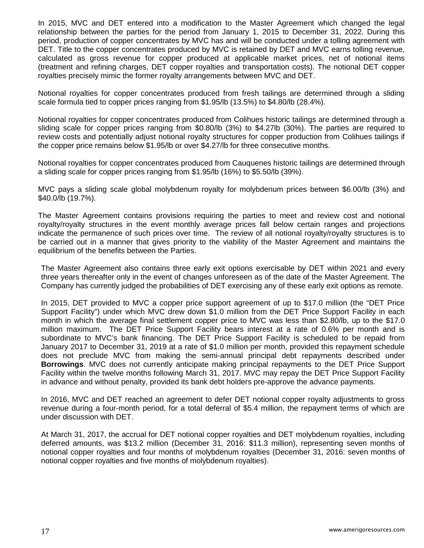In 2015, MVC and DET entered into a modification to the Master Agreement which changed the legal relationship between the parties for the period from January 1, 2015 to December 31, 2022. During this period, production of copper concentrates by MVC has and will be conducted under a tolling agreement with DET. Title to the copper concentrates produced by MVC is retained by DET and MVC earns tolling revenue, calculated as gross revenue for copper produced at applicable market prices, net of notional items (treatment and refining charges, DET copper royalties and transportation costs). The notional DET copper royalties precisely mimic the former royalty arrangements between MVC and DET.

Notional royalties for copper concentrates produced from fresh tailings are determined through a sliding scale formula tied to copper prices ranging from \$1.95/lb (13.5%) to \$4.80/lb (28.4%).

Notional royalties for copper concentrates produced from Colihues historic tailings are determined through a sliding scale for copper prices ranging from \$0.80/lb (3%) to \$4.27lb (30%). The parties are required to review costs and potentially adjust notional royalty structures for copper production from Colihues tailings if the copper price remains below \$1.95/lb or over \$4.27/lb for three consecutive months.

Notional royalties for copper concentrates produced from Cauquenes historic tailings are determined through a sliding scale for copper prices ranging from \$1.95/lb (16%) to \$5.50/lb (39%).

MVC pays a sliding scale global molybdenum royalty for molybdenum prices between \$6.00/lb (3%) and \$40.0/lb (19.7%).

The Master Agreement contains provisions requiring the parties to meet and review cost and notional royalty/royalty structures in the event monthly average prices fall below certain ranges and projections indicate the permanence of such prices over time. The review of all notional royalty/royalty structures is to be carried out in a manner that gives priority to the viability of the Master Agreement and maintains the equilibrium of the benefits between the Parties.

The Master Agreement also contains three early exit options exercisable by DET within 2021 and every three years thereafter only in the event of changes unforeseen as of the date of the Master Agreement. The Company has currently judged the probabilities of DET exercising any of these early exit options as remote.

In 2015, DET provided to MVC a copper price support agreement of up to \$17.0 million (the "DET Price Support Facility") under which MVC drew down \$1.0 million from the DET Price Support Facility in each month in which the average final settlement copper price to MVC was less than \$2.80/lb, up to the \$17.0 million maximum. The DET Price Support Facility bears interest at a rate of 0.6% per month and is subordinate to MVC's bank financing. The DET Price Support Facility is scheduled to be repaid from January 2017 to December 31, 2019 at a rate of \$1.0 million per month, provided this repayment schedule does not preclude MVC from making the semi-annual principal debt repayments described under **Borrowings**. MVC does not currently anticipate making principal repayments to the DET Price Support Facility within the twelve months following March 31, 2017. MVC may repay the DET Price Support Facility in advance and without penalty, provided its bank debt holders pre-approve the advance payments.

In 2016, MVC and DET reached an agreement to defer DET notional copper royalty adjustments to gross revenue during a four-month period, for a total deferral of \$5.4 million, the repayment terms of which are under discussion with DET.

At March 31, 2017, the accrual for DET notional copper royalties and DET molybdenum royalties, including deferred amounts, was \$13.2 million (December 31, 2016: \$11.3 million), representing seven months of notional copper royalties and four months of molybdenum royalties (December 31, 2016: seven months of notional copper royalties and five months of molybdenum royalties).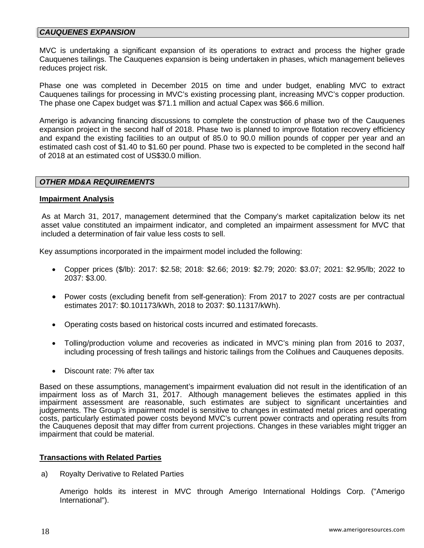## *CAUQUENES EXPANSION*

MVC is undertaking a significant expansion of its operations to extract and process the higher grade Cauquenes tailings. The Cauquenes expansion is being undertaken in phases, which management believes reduces project risk.

Phase one was completed in December 2015 on time and under budget, enabling MVC to extract Cauquenes tailings for processing in MVC's existing processing plant, increasing MVC's copper production. The phase one Capex budget was \$71.1 million and actual Capex was \$66.6 million.

Amerigo is advancing financing discussions to complete the construction of phase two of the Cauquenes expansion project in the second half of 2018. Phase two is planned to improve flotation recovery efficiency and expand the existing facilities to an output of 85.0 to 90.0 million pounds of copper per year and an estimated cash cost of \$1.40 to \$1.60 per pound. Phase two is expected to be completed in the second half of 2018 at an estimated cost of US\$30.0 million.

## *OTHER MD&A REQUIREMENTS*

#### **Impairment Analysis**

As at March 31, 2017, management determined that the Company's market capitalization below its net asset value constituted an impairment indicator, and completed an impairment assessment for MVC that included a determination of fair value less costs to sell.

Key assumptions incorporated in the impairment model included the following:

- Copper prices (\$/lb): 2017: \$2.58; 2018: \$2.66; 2019: \$2.79; 2020: \$3.07; 2021: \$2.95/lb; 2022 to 2037: \$3.00.
- Power costs (excluding benefit from self-generation): From 2017 to 2027 costs are per contractual estimates 2017: \$0.101173/kWh, 2018 to 2037: \$0.11317/kWh).
- Operating costs based on historical costs incurred and estimated forecasts.
- Tolling/production volume and recoveries as indicated in MVC's mining plan from 2016 to 2037, including processing of fresh tailings and historic tailings from the Colihues and Cauquenes deposits.
- Discount rate: 7% after tax

Based on these assumptions, management's impairment evaluation did not result in the identification of an impairment loss as of March 31, 2017. Although management believes the estimates applied in this impairment assessment are reasonable, such estimates are subject to significant uncertainties and judgements. The Group's impairment model is sensitive to changes in estimated metal prices and operating costs, particularly estimated power costs beyond MVC's current power contracts and operating results from the Cauquenes deposit that may differ from current projections. Changes in these variables might trigger an impairment that could be material.

#### **Transactions with Related Parties**

a) Royalty Derivative to Related Parties

Amerigo holds its interest in MVC through Amerigo International Holdings Corp. ("Amerigo International").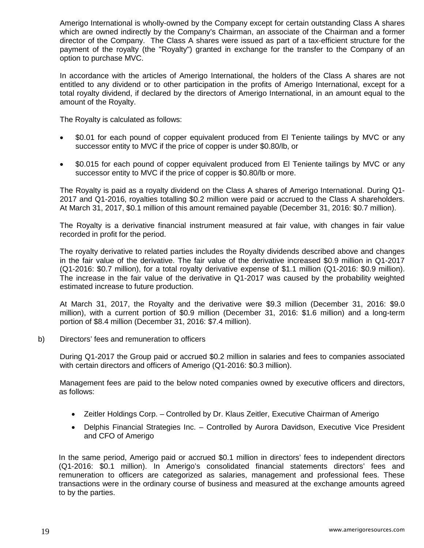Amerigo International is wholly-owned by the Company except for certain outstanding Class A shares which are owned indirectly by the Company's Chairman, an associate of the Chairman and a former director of the Company. The Class A shares were issued as part of a tax-efficient structure for the payment of the royalty (the "Royalty") granted in exchange for the transfer to the Company of an option to purchase MVC.

In accordance with the articles of Amerigo International, the holders of the Class A shares are not entitled to any dividend or to other participation in the profits of Amerigo International, except for a total royalty dividend, if declared by the directors of Amerigo International, in an amount equal to the amount of the Royalty.

The Royalty is calculated as follows:

- \$0.01 for each pound of copper equivalent produced from El Teniente tailings by MVC or any successor entity to MVC if the price of copper is under \$0.80/lb, or
- \$0.015 for each pound of copper equivalent produced from El Teniente tailings by MVC or any successor entity to MVC if the price of copper is \$0.80/lb or more.

The Royalty is paid as a royalty dividend on the Class A shares of Amerigo International. During Q1- 2017 and Q1-2016, royalties totalling \$0.2 million were paid or accrued to the Class A shareholders. At March 31, 2017, \$0.1 million of this amount remained payable (December 31, 2016: \$0.7 million).

The Royalty is a derivative financial instrument measured at fair value, with changes in fair value recorded in profit for the period.

The royalty derivative to related parties includes the Royalty dividends described above and changes in the fair value of the derivative. The fair value of the derivative increased \$0.9 million in Q1-2017 (Q1-2016: \$0.7 million), for a total royalty derivative expense of \$1.1 million (Q1-2016: \$0.9 million). The increase in the fair value of the derivative in Q1-2017 was caused by the probability weighted estimated increase to future production.

At March 31, 2017, the Royalty and the derivative were \$9.3 million (December 31, 2016: \$9.0 million), with a current portion of \$0.9 million (December 31, 2016: \$1.6 million) and a long-term portion of \$8.4 million (December 31, 2016: \$7.4 million).

b) Directors' fees and remuneration to officers

During Q1-2017 the Group paid or accrued \$0.2 million in salaries and fees to companies associated with certain directors and officers of Amerigo (Q1-2016: \$0.3 million).

Management fees are paid to the below noted companies owned by executive officers and directors, as follows:

- Zeitler Holdings Corp. Controlled by Dr. Klaus Zeitler, Executive Chairman of Amerigo
- Delphis Financial Strategies Inc. Controlled by Aurora Davidson, Executive Vice President and CFO of Amerigo

In the same period, Amerigo paid or accrued \$0.1 million in directors' fees to independent directors (Q1-2016: \$0.1 million). In Amerigo's consolidated financial statements directors' fees and remuneration to officers are categorized as salaries, management and professional fees. These transactions were in the ordinary course of business and measured at the exchange amounts agreed to by the parties.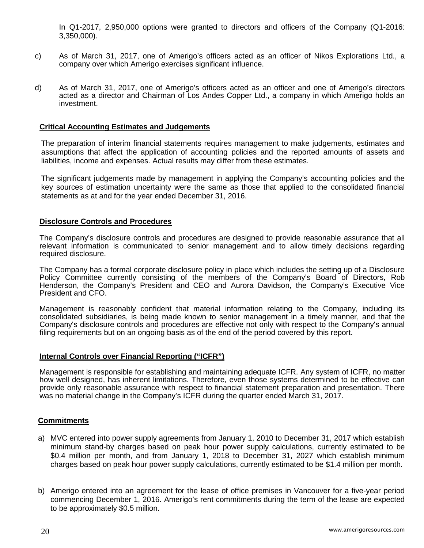In Q1-2017, 2,950,000 options were granted to directors and officers of the Company (Q1-2016: 3,350,000).

- c) As of March 31, 2017, one of Amerigo's officers acted as an officer of Nikos Explorations Ltd., a company over which Amerigo exercises significant influence.
- d) As of March 31, 2017, one of Amerigo's officers acted as an officer and one of Amerigo's directors acted as a director and Chairman of Los Andes Copper Ltd., a company in which Amerigo holds an investment.

## **Critical Accounting Estimates and Judgements**

The preparation of interim financial statements requires management to make judgements, estimates and assumptions that affect the application of accounting policies and the reported amounts of assets and liabilities, income and expenses. Actual results may differ from these estimates.

The significant judgements made by management in applying the Company's accounting policies and the key sources of estimation uncertainty were the same as those that applied to the consolidated financial statements as at and for the year ended December 31, 2016.

#### **Disclosure Controls and Procedures**

The Company's disclosure controls and procedures are designed to provide reasonable assurance that all relevant information is communicated to senior management and to allow timely decisions regarding required disclosure.

The Company has a formal corporate disclosure policy in place which includes the setting up of a Disclosure Policy Committee currently consisting of the members of the Company's Board of Directors, Rob Henderson, the Company's President and CEO and Aurora Davidson, the Company's Executive Vice President and CFO.

Management is reasonably confident that material information relating to the Company, including its consolidated subsidiaries, is being made known to senior management in a timely manner, and that the Company's disclosure controls and procedures are effective not only with respect to the Company's annual filing requirements but on an ongoing basis as of the end of the period covered by this report.

## **Internal Controls over Financial Reporting ("ICFR")**

Management is responsible for establishing and maintaining adequate ICFR. Any system of ICFR, no matter how well designed, has inherent limitations. Therefore, even those systems determined to be effective can provide only reasonable assurance with respect to financial statement preparation and presentation. There was no material change in the Company's ICFR during the quarter ended March 31, 2017.

## **Commitments**

- a) MVC entered into power supply agreements from January 1, 2010 to December 31, 2017 which establish minimum stand-by charges based on peak hour power supply calculations, currently estimated to be \$0.4 million per month, and from January 1, 2018 to December 31, 2027 which establish minimum charges based on peak hour power supply calculations, currently estimated to be \$1.4 million per month.
- b) Amerigo entered into an agreement for the lease of office premises in Vancouver for a five-year period commencing December 1, 2016. Amerigo's rent commitments during the term of the lease are expected to be approximately \$0.5 million.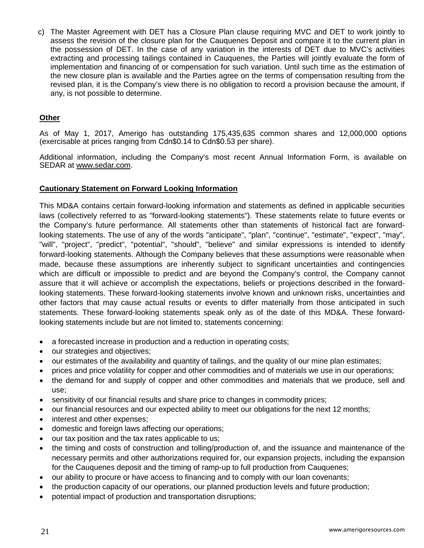c) The Master Agreement with DET has a Closure Plan clause requiring MVC and DET to work jointly to assess the revision of the closure plan for the Cauquenes Deposit and compare it to the current plan in the possession of DET. In the case of any variation in the interests of DET due to MVC's activities extracting and processing tailings contained in Cauquenes, the Parties will jointly evaluate the form of implementation and financing of or compensation for such variation. Until such time as the estimation of the new closure plan is available and the Parties agree on the terms of compensation resulting from the revised plan, it is the Company's view there is no obligation to record a provision because the amount, if any, is not possible to determine.

# **Other**

As of May 1, 2017, Amerigo has outstanding 175,435,635 common shares and 12,000,000 options (exercisable at prices ranging from Cdn\$0.14 to Cdn\$0.53 per share).

Additional information, including the Company's most recent Annual Information Form, is available on SEDAR at [www.sedar.com.](http://www.sedar.com/)

## **Cautionary Statement on Forward Looking Information**

This MD&A contains certain forward-looking information and statements as defined in applicable securities laws (collectively referred to as "forward-looking statements"). These statements relate to future events or the Company's future performance. All statements other than statements of historical fact are forwardlooking statements. The use of any of the words "anticipate", "plan", "continue", "estimate", "expect", "may", "will", "project", "predict", "potential", "should", "believe" and similar expressions is intended to identify forward-looking statements. Although the Company believes that these assumptions were reasonable when made, because these assumptions are inherently subject to significant uncertainties and contingencies which are difficult or impossible to predict and are beyond the Company's control, the Company cannot assure that it will achieve or accomplish the expectations, beliefs or projections described in the forwardlooking statements. These forward-looking statements involve known and unknown risks, uncertainties and other factors that may cause actual results or events to differ materially from those anticipated in such statements. These forward-looking statements speak only as of the date of this MD&A. These forwardlooking statements include but are not limited to, statements concerning:

- a forecasted increase in production and a reduction in operating costs;
- our strategies and objectives;
- our estimates of the availability and quantity of tailings, and the quality of our mine plan estimates;
- prices and price volatility for copper and other commodities and of materials we use in our operations;
- the demand for and supply of copper and other commodities and materials that we produce, sell and use;
- sensitivity of our financial results and share price to changes in commodity prices;
- our financial resources and our expected ability to meet our obligations for the next 12 months;
- interest and other expenses;
- domestic and foreign laws affecting our operations;
- our tax position and the tax rates applicable to us;
- the timing and costs of construction and tolling/production of, and the issuance and maintenance of the necessary permits and other authorizations required for, our expansion projects, including the expansion for the Cauquenes deposit and the timing of ramp-up to full production from Cauquenes;
- our ability to procure or have access to financing and to comply with our loan covenants;
- the production capacity of our operations, our planned production levels and future production;
- potential impact of production and transportation disruptions;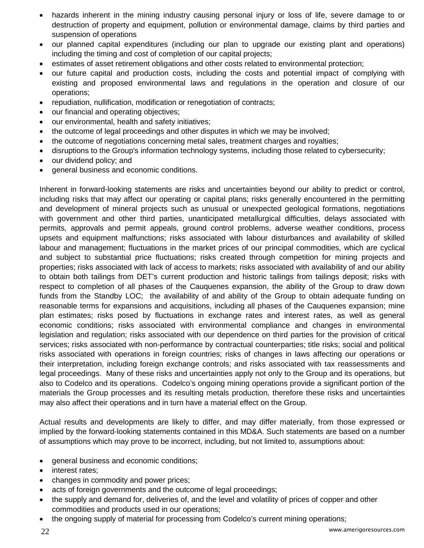- hazards inherent in the mining industry causing personal injury or loss of life, severe damage to or destruction of property and equipment, pollution or environmental damage, claims by third parties and suspension of operations
- our planned capital expenditures (including our plan to upgrade our existing plant and operations) including the timing and cost of completion of our capital projects;
- estimates of asset retirement obligations and other costs related to environmental protection;
- our future capital and production costs, including the costs and potential impact of complying with existing and proposed environmental laws and regulations in the operation and closure of our operations;
- repudiation, nullification, modification or renegotiation of contracts;
- our financial and operating objectives;
- our environmental, health and safety initiatives;
- the outcome of legal proceedings and other disputes in which we may be involved;
- the outcome of negotiations concerning metal sales, treatment charges and royalties;
- disruptions to the Group's information technology systems, including those related to cybersecurity;
- our dividend policy; and
- general business and economic conditions.

Inherent in forward-looking statements are risks and uncertainties beyond our ability to predict or control, including risks that may affect our operating or capital plans; risks generally encountered in the permitting and development of mineral projects such as unusual or unexpected geological formations, negotiations with government and other third parties, unanticipated metallurgical difficulties, delays associated with permits, approvals and permit appeals, ground control problems, adverse weather conditions, process upsets and equipment malfunctions; risks associated with labour disturbances and availability of skilled labour and management; fluctuations in the market prices of our principal commodities, which are cyclical and subject to substantial price fluctuations; risks created through competition for mining projects and properties; risks associated with lack of access to markets; risks associated with availability of and our ability to obtain both tailings from DET's current production and historic tailings from tailings deposit; risks with respect to completion of all phases of the Cauquenes expansion, the ability of the Group to draw down funds from the Standby LOC; the availability of and ability of the Group to obtain adequate funding on reasonable terms for expansions and acquisitions, including all phases of the Cauquenes expansion; mine plan estimates; risks posed by fluctuations in exchange rates and interest rates, as well as general economic conditions; risks associated with environmental compliance and changes in environmental legislation and regulation; risks associated with our dependence on third parties for the provision of critical services; risks associated with non-performance by contractual counterparties; title risks; social and political risks associated with operations in foreign countries; risks of changes in laws affecting our operations or their interpretation, including foreign exchange controls; and risks associated with tax reassessments and legal proceedings. Many of these risks and uncertainties apply not only to the Group and its operations, but also to Codelco and its operations. Codelco's ongoing mining operations provide a significant portion of the materials the Group processes and its resulting metals production, therefore these risks and uncertainties may also affect their operations and in turn have a material effect on the Group.

Actual results and developments are likely to differ, and may differ materially, from those expressed or implied by the forward-looking statements contained in this MD&A. Such statements are based on a number of assumptions which may prove to be incorrect, including, but not limited to, assumptions about:

- general business and economic conditions;
- interest rates;
- changes in commodity and power prices;
- acts of foreign governments and the outcome of legal proceedings;
- the supply and demand for, deliveries of, and the level and volatility of prices of copper and other commodities and products used in our operations;
- the ongoing supply of material for processing from Codelco's current mining operations;